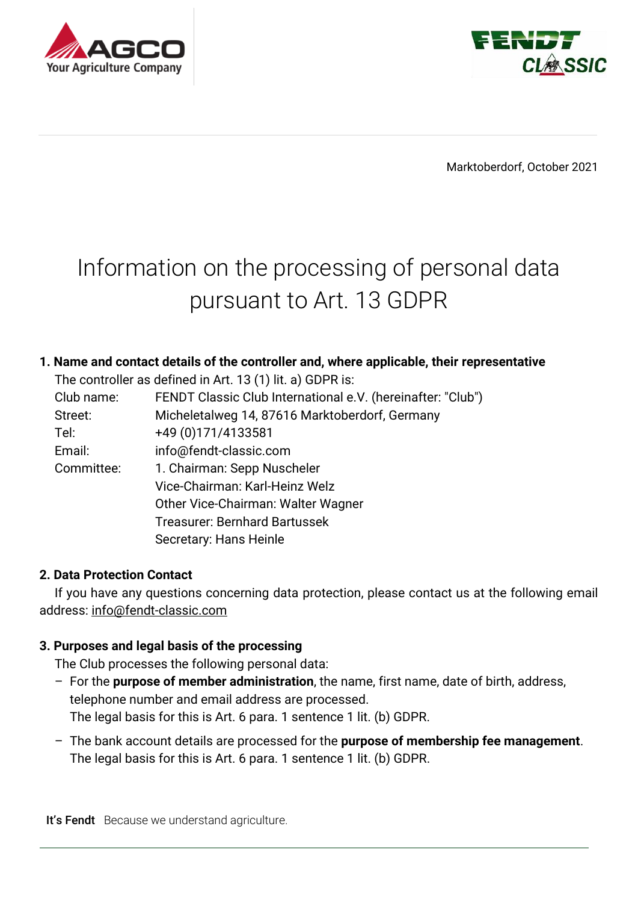



Marktoberdorf, October 2021

# Information on the processing of personal data pursuant to Art. 13 GDPR

### **1. Name and contact details of the controller and, where applicable, their representative**

The controller as defined in Art. 13 (1) lit. a) GDPR is:

| Club name: | FENDT Classic Club International e.V. (hereinafter: "Club") |
|------------|-------------------------------------------------------------|
| Street:    | Micheletalweg 14, 87616 Marktoberdorf, Germany              |
| Tel:       | +49 (0) 171/ 4133581                                        |
| Email:     | info@fendt-classic.com                                      |
| Committee: | 1. Chairman: Sepp Nuscheler                                 |
|            | Vice-Chairman: Karl-Heinz Welz                              |
|            | Other Vice-Chairman: Walter Wagner                          |
|            | <b>Treasurer: Bernhard Bartussek</b>                        |
|            | Secretary: Hans Heinle                                      |

#### **2. Data Protection Contact**

If you have any questions concerning data protection, please contact us at the following email address: info@fendt-classic.com

#### **3. Purposes and legal basis of the processing**

The Club processes the following personal data:

- For the **purpose of member administration**, the name, first name, date of birth, address, telephone number and email address are processed. The legal basis for this is Art. 6 para. 1 sentence 1 lit. (b) GDPR.
- The bank account details are processed for the **purpose of membership fee management**. The legal basis for this is Art. 6 para. 1 sentence 1 lit. (b) GDPR.

It's Fendt Because we understand agriculture.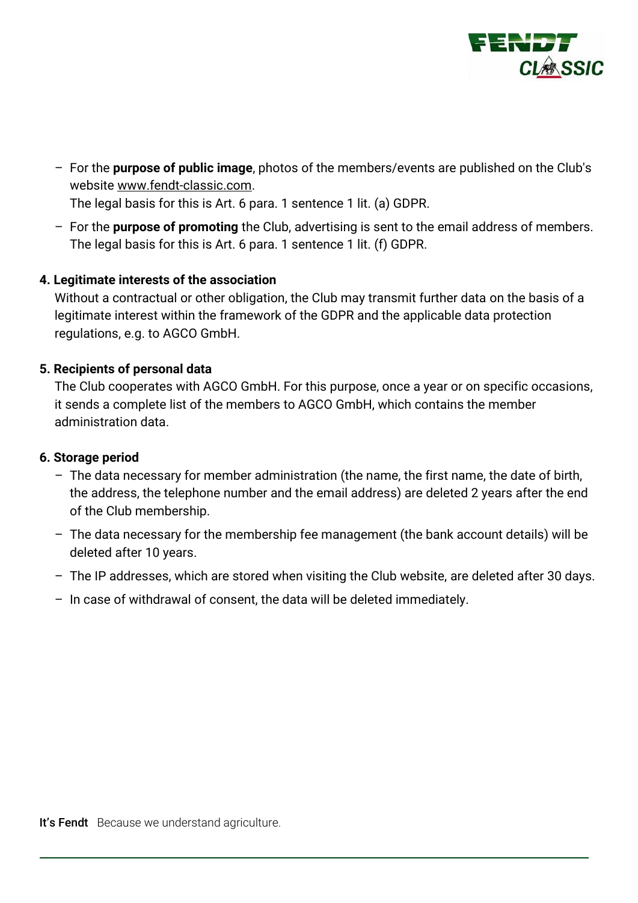

– For the **purpose of public image**, photos of the members/events are published on the Club's website www.fendt-classic.com. The legal basis for this is Art. 6 para. 1 sentence 1 lit. (a) GDPR.

– For the **purpose of promoting** the Club, advertising is sent to the email address of members. The legal basis for this is Art. 6 para. 1 sentence 1 lit. (f) GDPR.

#### **4. Legitimate interests of the association**

Without a contractual or other obligation, the Club may transmit further data on the basis of a legitimate interest within the framework of the GDPR and the applicable data protection regulations, e.g. to AGCO GmbH.

#### **5. Recipients of personal data**

The Club cooperates with AGCO GmbH. For this purpose, once a year or on specific occasions, it sends a complete list of the members to AGCO GmbH, which contains the member administration data.

#### **6. Storage period**

- The data necessary for member administration (the name, the first name, the date of birth, the address, the telephone number and the email address) are deleted 2 years after the end of the Club membership.
- The data necessary for the membership fee management (the bank account details) will be deleted after 10 years.
- The IP addresses, which are stored when visiting the Club website, are deleted after 30 days.
- In case of withdrawal of consent, the data will be deleted immediately.